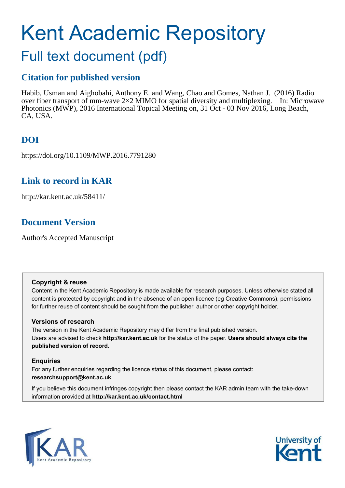# Kent Academic Repository

# Full text document (pdf)

## **Citation for published version**

Habib, Usman and Aighobahi, Anthony E. and Wang, Chao and Gomes, Nathan J. (2016) Radio over fiber transport of mm-wave  $2\times2$  MIMO for spatial diversity and multiplexing. In: Microwave Photonics (MWP), 2016 International Topical Meeting on, 31 Oct - 03 Nov 2016, Long Beach, CA, USA.

## **DOI**

https://doi.org/10.1109/MWP.2016.7791280

## **Link to record in KAR**

http://kar.kent.ac.uk/58411/

## **Document Version**

Author's Accepted Manuscript

#### **Copyright & reuse**

Content in the Kent Academic Repository is made available for research purposes. Unless otherwise stated all content is protected by copyright and in the absence of an open licence (eg Creative Commons), permissions for further reuse of content should be sought from the publisher, author or other copyright holder.

#### **Versions of research**

The version in the Kent Academic Repository may differ from the final published version. Users are advised to check **http://kar.kent.ac.uk** for the status of the paper. **Users should always cite the published version of record.**

#### **Enquiries**

For any further enquiries regarding the licence status of this document, please contact: **researchsupport@kent.ac.uk**

If you believe this document infringes copyright then please contact the KAR admin team with the take-down information provided at **http://kar.kent.ac.uk/contact.html**



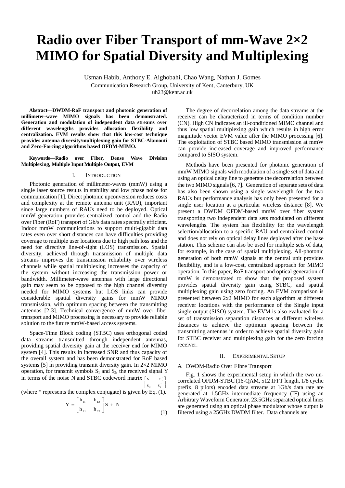## **Radio over Fiber Transport of mm-Wave 2×2 MIMO for Spatial Diversity and Multiplexing**

Usman Habib, Anthony E. Aighobahi, Chao Wang, Nathan J. Gomes

Communication Research Group, University of Kent, Canterbury, UK

uh23@kent.ac.uk

**Abstract—DWDM-RoF transport and photonic generation of millimeter-wave MIMO signals has been demonstrated. Generation and modulation of independent data streams over different wavelengths provides allocation flexibility and centralization. EVM results show that this low-cost technique provides antenna diversity/multiplexing gain for STBC-Alamouti and Zero-Forcing algorithms based OFDM-MIMO.** 

**Keywords***—***Radio over Fiber, Dense Wave Division Multiplexing, Multiple Input Multiple Output, EVM**

#### I. INTRODUCTION

Photonic generation of millimeter-waves (mmW) using a single laser source results in stability and low phase noise for communication [1]. Direct photonic upconversion reduces costs and complexity at the remote antenna unit (RAU), important since large numbers of RAUs need to be deployed. Optical mmW generation provides centralized control and the Radio over Fiber (RoF) transport of Gb/s data rates spectrally efficient. Indoor mmW communications to support multi-gigabit data rates even over short distances can have difficulties providing coverage to multiple user locations due to high path loss and the need for directive line-of-sight (LOS) transmission. Spatial diversity, achieved through transmission of multiple data streams improves the transmission reliability over wireless channels while spatial multiplexing increases the capacity of the system without increasing the transmission power or bandwidth. Millimeter-wave antennas with large directional gain may seem to be opposed to the high channel diversity needed for MIMO systems but LOS links can provide considerable spatial diversity gains for mmW MIMO transmission, with optimum spacing between the transmitting antennas [2-3]. Technical convergence of mmW over fiber transport and MIMO processing is necessary to provide reliable solution to the future mmW-based access systems.

Space-Time Block coding (STBC) uses orthogonal coded data streams transmitted through independent antennas, providing spatial diversity gain at the receiver end for MIMO system [4]. This results in increased SNR and thus capacity of the overall system and has been demonstrated for RoF based systems [5] in providing transmit diversity gain. In 2×2 MIMO operation, for transmit symbols  $S_1$  and  $S_2$ , the received signal Y in terms of the noise N and STBC codeword matrix  $[s_1 - s_2]$  $\begin{bmatrix} S_2 & S_1 \end{bmatrix}$ 

(where \* represents the complex conjugate) is given by Eq. (1).

$$
Y = \begin{bmatrix} h_{11} & h_{12} \\ h_{21} & h_{22} \end{bmatrix} S + N
$$

(1)

 The degree of decorrelation among the data streams at the receiver can be characterized in terms of condition number (CN). High CN indicates an ill-conditioned MIMO channel and thus low spatial multiplexing gain which results in high error magnitude vector EVM value after the MIMO processing [6]. The exploitation of STBC based MIMO transmission at mmW can provide increased coverage and improved performance compared to SISO system.

Methods have been presented for photonic generation of mmW MIMO signals with modulation of a single set of data and using an optical delay line to generate the decorrelation between the two MIMO signals [6, 7]. Generation of separate sets of data has also been shown using a single wavelength for the two RAUs but performance analysis has only been presented for a single user location at a particular wireless distance [8]. We present a DWDM OFDM-based mmW over fiber system transporting two independent data sets modulated on different wavelengths. The system has flexibility for the wavelength selection/allocation to a specific RAU and centralized control and does not rely on optical delay lines deployed after the base station. This scheme can also be used for multiple sets of data, for example, in the case of spatial multiplexing. All-photonic generation of both mmW signals at the central unit provides flexibility, and is a low-cost, centralized approach for MIMO operation. In this paper, RoF transport and optical generation of mmW is demonstrated to show that the proposed system provides spatial diversity gain using STBC, and spatial multiplexing gain using zero forcing. An EVM comparison is presented between 2x2 MIMO for each algorithm at different receiver locations with the performance of the Single input single output (SISO) system. The EVM is also evaluated for a set of transmission separation distances at different wireless distances to achieve the optimum spacing between the transmitting antennas in order to achieve spatial diversity gain for STBC receiver and multiplexing gain for the zero forcing receiver.

#### II. EXPERIMENTAL SETUP

#### A. DWDM-Radio Over Fibre Transport

 Fig. 1 shows the experimental setup in which the two uncorrelated OFDM-STBC (16-QAM, 512 IFFT length, 1/8 cyclic prefix, 8 pilots) encoded data streams at 1Gb/s data rate are generated at 1.5GHz intermediate frequency (IF) using an Arbitrary Waveform Generator. 23.5GHz separated optical lines are generated using an optical phase modulator whose output is filtered using a 25GHz DWDM filter. Data channels are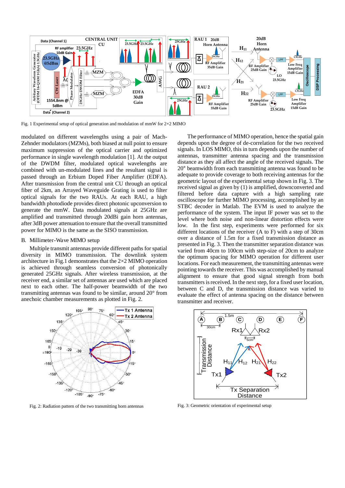

Fig. 1 Experimental setup of optical generation and modulation of mmW for 2×2 MIMO

modulated on different wavelengths using a pair of Mach-Zehnder modulators (MZMs), both biased at null point to ensure maximum suppression of the optical carrier and optimized performance in single wavelength modulation [1]. At the output of the DWDM filter, modulated optical wavelengths are combined with un-modulated lines and the resultant signal is passed through an Erbium Doped Fiber Amplifier (EDFA). After transmission from the central unit CU through an optical fiber of 2km, an Arrayed Waveguide Grating is used to filter optical signals for the two RAUs. At each RAU, a high bandwidth photodiode provides direct photonic upconversion to generate the mmW. Data modulated signals at 25GHz are amplified and transmitted through 20dBi gain horn antennas, after 3dB power attenuation to ensure that the overall transmitted power for MIMO is the same as the SISO transmission.

#### B. Millimeter-Wave MIMO setup

Multiple transmit antennas provide different paths for spatial diversity in MIMO transmission. The downlink system architecture in Fig.1 demonstrates that the 2×2 MIMO operation is achieved through seamless conversion of photonically generated 25GHz signals. After wireless transmission, at the receiver end, a similar set of antennas are used which are placed next to each other. The half-power beamwidth of the two transmitting antennas was found to be similar, around 20° from anechoic chamber measurements as plotted in Fig. 2.



Fig. 2: Radiation pattern of the two transmitting horn antennas

 The performance of MIMO operation, hence the spatial gain depends upon the degree of de-correlation for the two received signals. In LOS MIMO, this in turn depends upon the number of antennas, transmitter antenna spacing and the transmission distance as they all affect the angle of the received signals. The 20° beamwidth from each transmitting antenna was found to be adequate to provide coverage to both receiving antennas for the geometric layout of the experimental setup shown in Fig. 3. The received signal as given by (1) is amplified, downconverted and filtered before data capture with a high sampling rate oscilloscope for further MIMO processing, accomplished by an STBC decoder in Matlab. The EVM is used to analyze the performance of the system. The input IF power was set to the level where both noise and non-linear distortion effects were low. In the first step, experiments were performed for six different locations of the receiver (A to F) with a step of 30cm over a distance of 1.5m for a fixed transmission distance as presented in Fig. 3. Then the transmitter separation distance was varied from 40cm to 100cm with step-size of 20cm to analyze the optimum spacing for MIMO operation for different user locations. For each measurement, the transmitting antennas were pointing towards the receiver. This was accomplished by manual alignment to ensure that good signal strength from both transmitters is received. In the next step, for a fixed user location, between C and D, the transmission distance was varied to evaluate the effect of antenna spacing on the distance between transmitter and receiver.



Fig. 3: Geometric orientation of experimental setup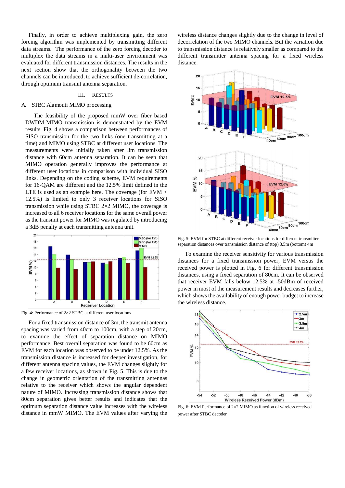Finally, in order to achieve multiplexing gain, the zero forcing algorithm was implemented by transmitting different data streams. The performance of the zero forcing decoder to multiplex the data streams in a multi-user environment was evaluated for different transmission distances. The results in the next section show that the orthogonality between the two channels can be introduced, to achieve sufficient de-correlation, through optimum transmit antenna separation.

#### III. RESULTS

#### A. STBC Alamouti MIMO processing

The feasibility of the proposed mmW over fiber based DWDM-MIMO transmission is demonstrated by the EVM results. Fig. 4 shows a comparison between performances of SISO transmission for the two links (one transmitting at a time) and MIMO using STBC at different user locations. The measurements were initially taken after 3m transmission distance with 60cm antenna separation. It can be seen that MIMO operation generally improves the performance at different user locations in comparison with individual SISO links. Depending on the coding scheme, EVM requirements for 16-QAM are different and the 12.5% limit defined in the LTE is used as an example here. The coverage (for EVM < 12.5%) is limited to only 3 receiver locations for SISO transmission while using STBC 2×2 MIMO, the coverage is increased to all 6 receiver locations for the same overall power as the transmit power for MIMO was regulated by introducing a 3dB penalty at each transmitting antenna unit.



Fig. 4: Performance of 2×2 STBC at different user locations

 For a fixed transmission distance of 3m, the transmit antenna spacing was varied from 40cm to 100cm, with a step of 20cm, to examine the effect of separation distance on MIMO performance. Best overall separation was found to be 60cm as EVM for each location was observed to be under 12.5%. As the transmission distance is increased for deeper investigation, for different antenna spacing values, the EVM changes slightly for a few receiver locations, as shown in Fig. 5. This is due to the change in geometric orientation of the transmitting antennas relative to the receiver which shows the angular dependent nature of MIMO. Increasing transmission distance shows that 80cm separation gives better results and indicates that the optimum separation distance value increases with the wireless distance in mmW MIMO. The EVM values after varying the

wireless distance changes slightly due to the change in level of decorrelation of the two MIMO channels. But the variation due to transmission distance is relatively smaller as compared to the different transmitter antenna spacing for a fixed wireless distance.



Fig. 5: EVM for STBC at different receiver locations for different transmitter separation distances over transmission distance of (top) 3.5m (bottom) 4m

 To examine the receiver sensitivity for various transmission distances for a fixed transmission power, EVM versus the received power is plotted in Fig. 6 for different transmission distances, using a fixed separation of 80cm. It can be observed that receiver EVM falls below 12.5% at -50dBm of received power in most of the measurement results and decreases further, which shows the availability of enough power budget to increase the wireless distance.



Fig. 6: EVM Performance of 2×2 MIMO as function of wireless received power after STBC decoder